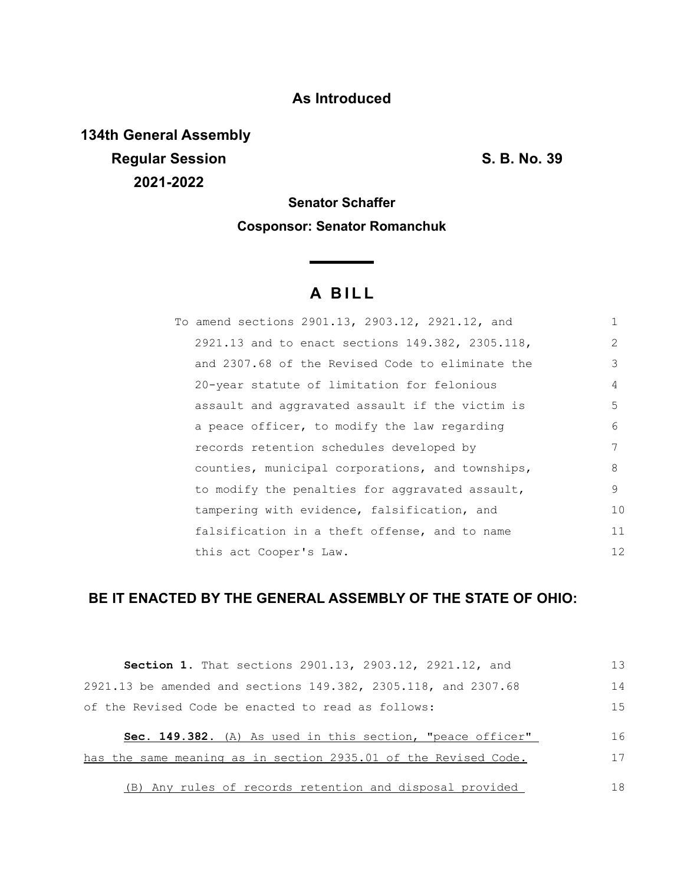## **As Introduced**

**134th General Assembly Regular Session S. B. No. 39 2021-2022**

# **Senator Schaffer Cosponsor: Senator Romanchuk**

<u> Thomas San</u>

# **A B I L L**

| To amend sections 2901.13, 2903.12, 2921.12, and |    |
|--------------------------------------------------|----|
| 2921.13 and to enact sections 149.382, 2305.118, | 2  |
| and 2307.68 of the Revised Code to eliminate the | 3  |
| 20-year statute of limitation for felonious      | 4  |
| assault and aggravated assault if the victim is  | 5  |
| a peace officer, to modify the law regarding     | 6  |
| records retention schedules developed by         | 7  |
| counties, municipal corporations, and townships, | 8  |
| to modify the penalties for aggravated assault,  | 9  |
| tampering with evidence, falsification, and      | 10 |
| falsification in a theft offense, and to name    | 11 |
| this act Cooper's Law.                           | 12 |

## **BE IT ENACTED BY THE GENERAL ASSEMBLY OF THE STATE OF OHIO:**

| Section 1. That sections 2901.13, 2903.12, 2921.12, and         | 13  |
|-----------------------------------------------------------------|-----|
| 2921.13 be amended and sections 149.382, 2305.118, and 2307.68  | 14  |
| of the Revised Code be enacted to read as follows:              | 1.5 |
| Sec. 149.382. (A) As used in this section, "peace officer"      | 16  |
| has the same meaning as in section 2935.01 of the Revised Code. | 17  |
| (B) Any rules of records retention and disposal provided        | 18  |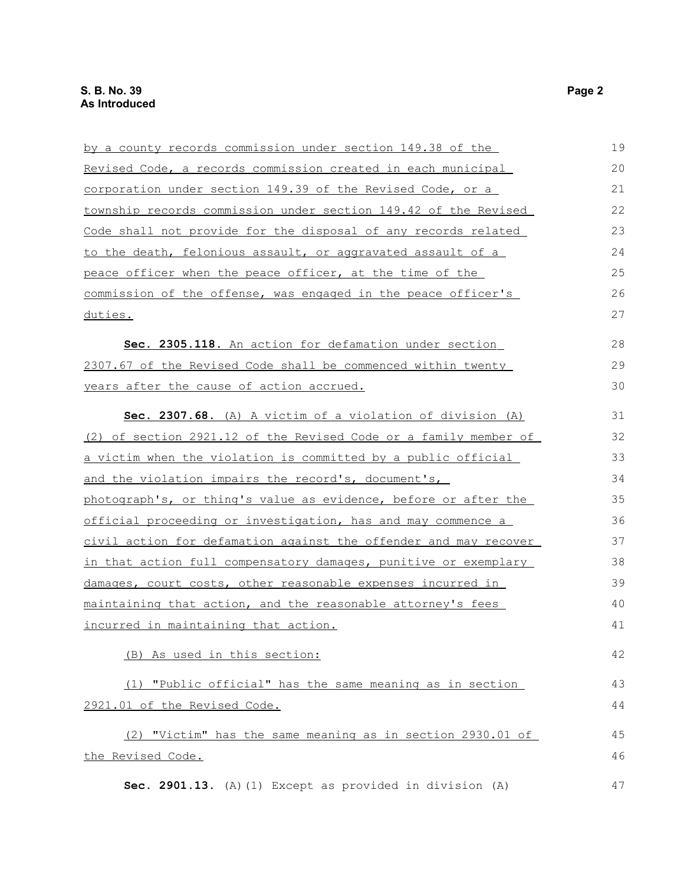| by a county records commission under section 149.38 of the          | 19 |
|---------------------------------------------------------------------|----|
| Revised Code, a records commission created in each municipal        | 20 |
| corporation under section 149.39 of the Revised Code, or a          | 21 |
| township records commission under section 149.42 of the Revised     | 22 |
| Code shall not provide for the disposal of any records related      | 23 |
| to the death, felonious assault, or aggravated assault of a         | 24 |
| peace officer when the peace officer, at the time of the            | 25 |
| commission of the offense, was engaged in the peace officer's       | 26 |
| duties.                                                             | 27 |
| Sec. 2305.118. An action for defamation under section               | 28 |
| 2307.67 of the Revised Code shall be commenced within twenty        | 29 |
| years after the cause of action accrued.                            | 30 |
| Sec. 2307.68. (A) A victim of a violation of division (A)           | 31 |
| (2) of section 2921.12 of the Revised Code or a family member of    | 32 |
| a victim when the violation is committed by a public official       | 33 |
| and the violation impairs the record's, document's,                 | 34 |
| photograph's, or thing's value as evidence, before or after the     | 35 |
| <u>official proceeding or investigation, has and may commence a</u> | 36 |
| civil action for defamation against the offender and may recover    | 37 |
| in that action full compensatory damages, punitive or exemplary     | 38 |
| damages, court costs, other reasonable expenses incurred in         | 39 |
| maintaining that action, and the reasonable attorney's fees         | 40 |
| incurred in maintaining that action.                                | 41 |
| (B) As used in this section:                                        | 42 |
| (1) "Public official" has the same meaning as in section            | 43 |
| 2921.01 of the Revised Code.                                        | 44 |
| (2) "Victim" has the same meaning as in section 2930.01 of          | 45 |
| the Revised Code.                                                   | 46 |
| Sec. 2901.13. (A) (1) Except as provided in division (A)            | 47 |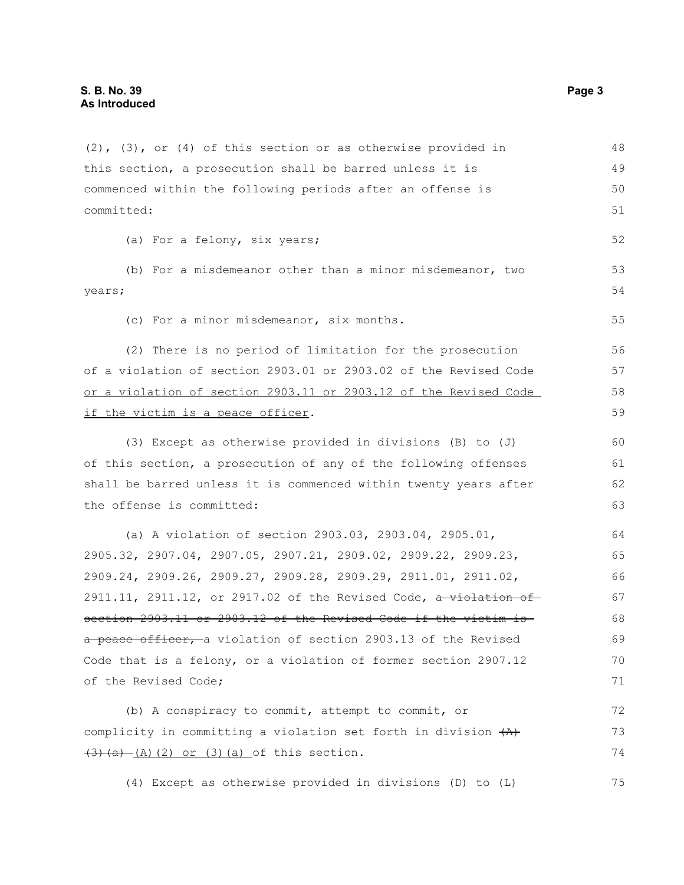| $(2)$ , $(3)$ , or $(4)$ of this section or as otherwise provided in     | 48 |
|--------------------------------------------------------------------------|----|
| this section, a prosecution shall be barred unless it is                 | 49 |
| commenced within the following periods after an offense is               | 50 |
| committed:                                                               |    |
| (a) For a felony, six years;                                             | 52 |
| (b) For a misdemeanor other than a minor misdemeanor, two                | 53 |
| years;                                                                   |    |
| (c) For a minor misdemeanor, six months.                                 | 55 |
| (2) There is no period of limitation for the prosecution                 | 56 |
| of a violation of section 2903.01 or 2903.02 of the Revised Code         | 57 |
| or a violation of section 2903.11 or 2903.12 of the Revised Code         | 58 |
| if the victim is a peace officer.                                        | 59 |
| (3) Except as otherwise provided in divisions (B) to (J)                 | 60 |
| of this section, a prosecution of any of the following offenses          | 61 |
| shall be barred unless it is commenced within twenty years after         | 62 |
| the offense is committed:                                                |    |
| (a) A violation of section 2903.03, 2903.04, 2905.01,                    | 64 |
| 2905.32, 2907.04, 2907.05, 2907.21, 2909.02, 2909.22, 2909.23,           | 65 |
| 2909.24, 2909.26, 2909.27, 2909.28, 2909.29, 2911.01, 2911.02,           | 66 |
| $2911.11$ , $2911.12$ , or $2917.02$ of the Revised Code, a violation of | 67 |
| section 2903.11 or 2903.12 of the Revised Code if the victim is          | 68 |
| a peace officer, a violation of section 2903.13 of the Revised           | 69 |
| Code that is a felony, or a violation of former section 2907.12          | 70 |
| of the Revised Code;                                                     | 71 |
| (b) A conspiracy to commit, attempt to commit, or                        | 72 |
| complicity in committing a violation set forth in division $(A)$         | 73 |
| $(3)$ $(a)$ $(A)$ $(2)$ or $(3)$ $(a)$ of this section.                  | 74 |
| (4) Except as otherwise provided in divisions (D) to (L)                 | 75 |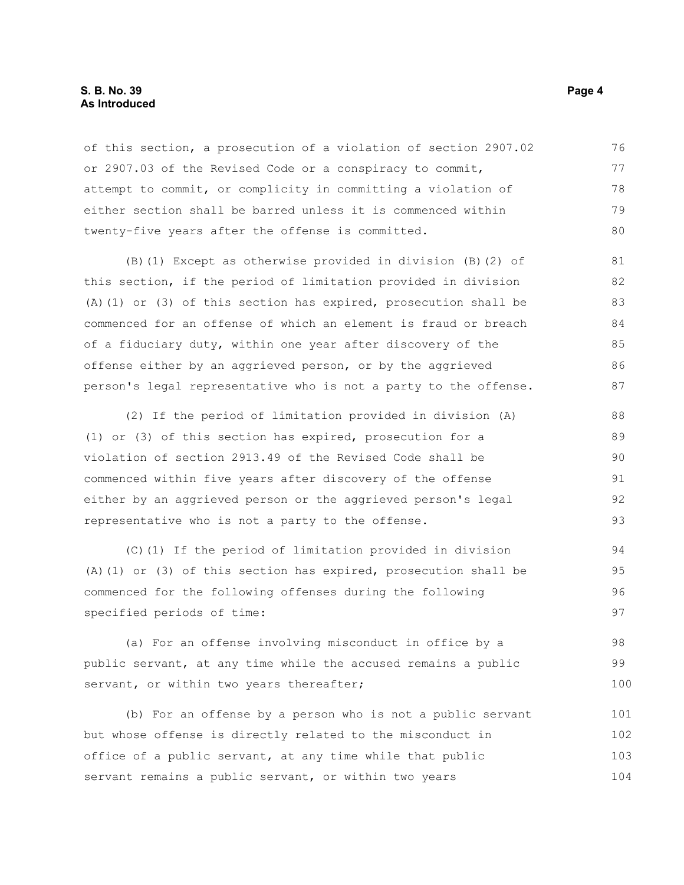#### **S. B. No. 39 Page 4 As Introduced**

of this section, a prosecution of a violation of section 2907.02 or 2907.03 of the Revised Code or a conspiracy to commit, attempt to commit, or complicity in committing a violation of either section shall be barred unless it is commenced within twenty-five years after the offense is committed. 76 77 78 79 80

(B)(1) Except as otherwise provided in division (B)(2) of this section, if the period of limitation provided in division (A)(1) or (3) of this section has expired, prosecution shall be commenced for an offense of which an element is fraud or breach of a fiduciary duty, within one year after discovery of the offense either by an aggrieved person, or by the aggrieved person's legal representative who is not a party to the offense. 82 83 84 86 87

(2) If the period of limitation provided in division (A) (1) or (3) of this section has expired, prosecution for a violation of section 2913.49 of the Revised Code shall be commenced within five years after discovery of the offense either by an aggrieved person or the aggrieved person's legal representative who is not a party to the offense. 88 89 90 91 92 93

(C)(1) If the period of limitation provided in division (A)(1) or (3) of this section has expired, prosecution shall be commenced for the following offenses during the following specified periods of time: 94 95 96 97

(a) For an offense involving misconduct in office by a public servant, at any time while the accused remains a public servant, or within two years thereafter; 98 99 100

(b) For an offense by a person who is not a public servant but whose offense is directly related to the misconduct in office of a public servant, at any time while that public servant remains a public servant, or within two years 101 102 103 104

81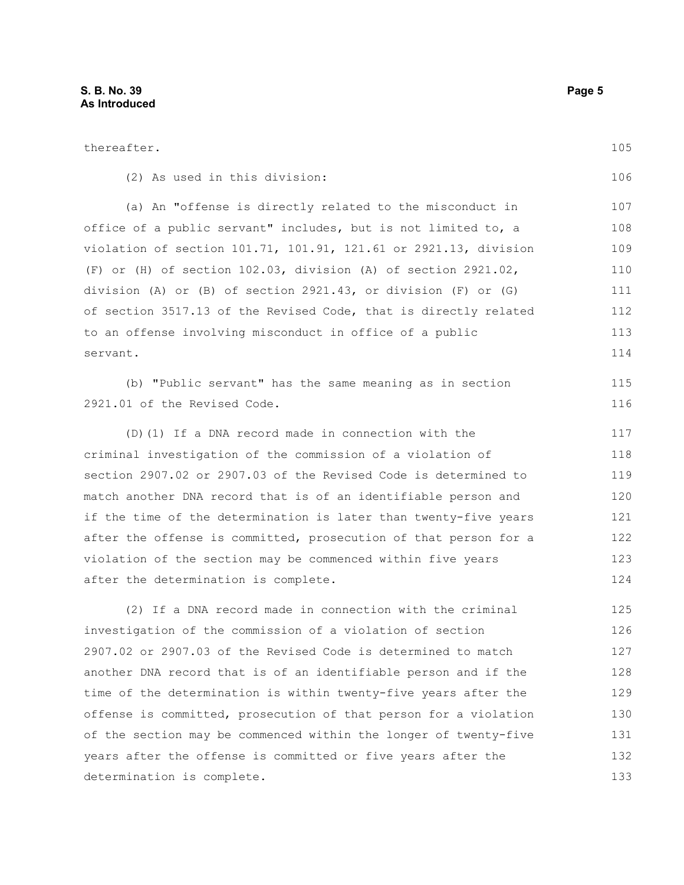thereafter.

determination is complete.

(2) As used in this division: (a) An "offense is directly related to the misconduct in office of a public servant" includes, but is not limited to, a violation of section 101.71, 101.91, 121.61 or 2921.13, division (F) or (H) of section 102.03, division (A) of section 2921.02, division (A) or (B) of section 2921.43, or division (F) or (G) of section 3517.13 of the Revised Code, that is directly related to an offense involving misconduct in office of a public servant. (b) "Public servant" has the same meaning as in section 2921.01 of the Revised Code. (D)(1) If a DNA record made in connection with the criminal investigation of the commission of a violation of section 2907.02 or 2907.03 of the Revised Code is determined to match another DNA record that is of an identifiable person and if the time of the determination is later than twenty-five years after the offense is committed, prosecution of that person for a violation of the section may be commenced within five years after the determination is complete. (2) If a DNA record made in connection with the criminal investigation of the commission of a violation of section 2907.02 or 2907.03 of the Revised Code is determined to match another DNA record that is of an identifiable person and if the time of the determination is within twenty-five years after the offense is committed, prosecution of that person for a violation of the section may be commenced within the longer of twenty-five years after the offense is committed or five years after the 106 107 108 109 110 111 112 113 114 115 116 117 118 119 120 121 122 123 124 125 126 127 128 129 130 131 132

105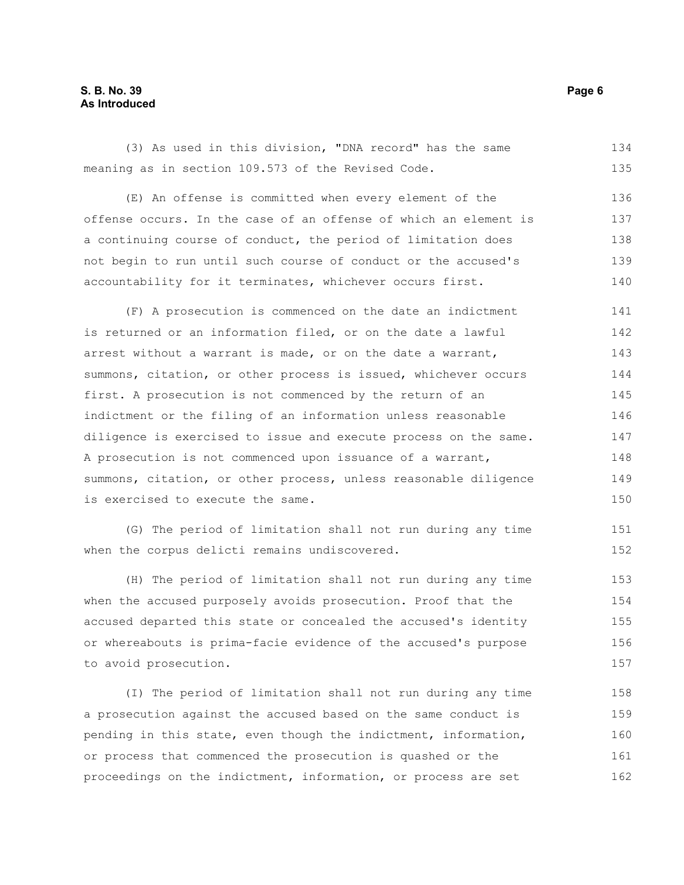#### **S. B. No. 39 Page 6 As Introduced**

(3) As used in this division, "DNA record" has the same meaning as in section 109.573 of the Revised Code. 134 135

(E) An offense is committed when every element of the offense occurs. In the case of an offense of which an element is a continuing course of conduct, the period of limitation does not begin to run until such course of conduct or the accused's accountability for it terminates, whichever occurs first. 136 137 138 139 140

(F) A prosecution is commenced on the date an indictment is returned or an information filed, or on the date a lawful arrest without a warrant is made, or on the date a warrant, summons, citation, or other process is issued, whichever occurs first. A prosecution is not commenced by the return of an indictment or the filing of an information unless reasonable diligence is exercised to issue and execute process on the same. A prosecution is not commenced upon issuance of a warrant, summons, citation, or other process, unless reasonable diligence is exercised to execute the same. 141 142 143 144 145 146 147 148 149 150

(G) The period of limitation shall not run during any time when the corpus delicti remains undiscovered.

(H) The period of limitation shall not run during any time when the accused purposely avoids prosecution. Proof that the accused departed this state or concealed the accused's identity or whereabouts is prima-facie evidence of the accused's purpose to avoid prosecution. 153 154 155 156 157

(I) The period of limitation shall not run during any time a prosecution against the accused based on the same conduct is pending in this state, even though the indictment, information, or process that commenced the prosecution is quashed or the proceedings on the indictment, information, or process are set 158 159 160 161 162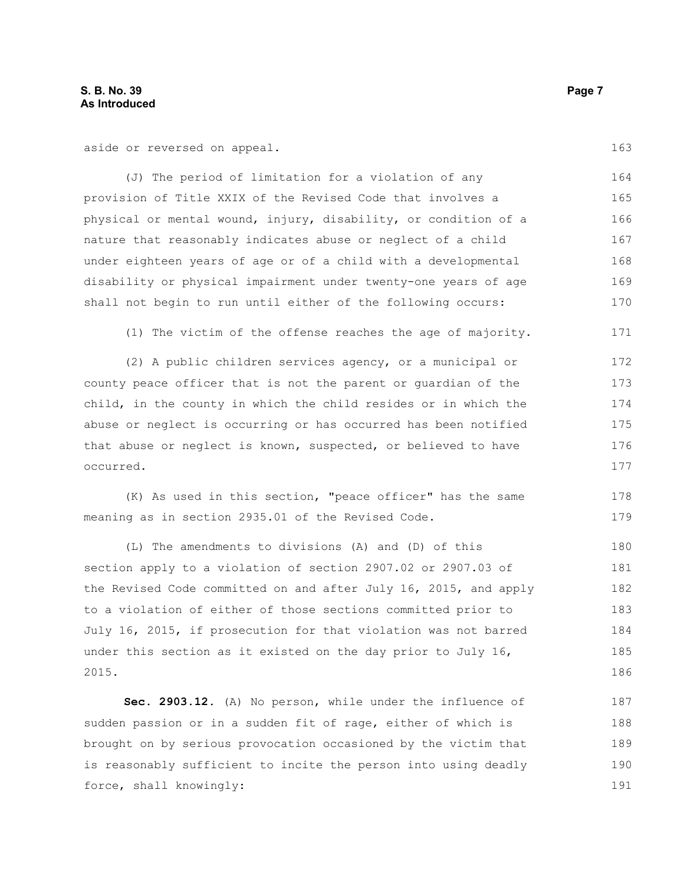aside or reversed on appeal.

(J) The period of limitation for a violation of any provision of Title XXIX of the Revised Code that involves a physical or mental wound, injury, disability, or condition of a nature that reasonably indicates abuse or neglect of a child under eighteen years of age or of a child with a developmental disability or physical impairment under twenty-one years of age shall not begin to run until either of the following occurs: 164 165 166 167 168 169 170

(1) The victim of the offense reaches the age of majority. 171

(2) A public children services agency, or a municipal or county peace officer that is not the parent or guardian of the child, in the county in which the child resides or in which the abuse or neglect is occurring or has occurred has been notified that abuse or neglect is known, suspected, or believed to have occurred. 172 173 174 175 176 177

(K) As used in this section, "peace officer" has the same meaning as in section 2935.01 of the Revised Code. 178 179

(L) The amendments to divisions (A) and (D) of this section apply to a violation of section 2907.02 or 2907.03 of the Revised Code committed on and after July 16, 2015, and apply to a violation of either of those sections committed prior to July 16, 2015, if prosecution for that violation was not barred under this section as it existed on the day prior to July 16, 2015. 180 181 182 183 184 185 186

**Sec. 2903.12.** (A) No person, while under the influence of sudden passion or in a sudden fit of rage, either of which is brought on by serious provocation occasioned by the victim that is reasonably sufficient to incite the person into using deadly force, shall knowingly: 187 188 189 190 191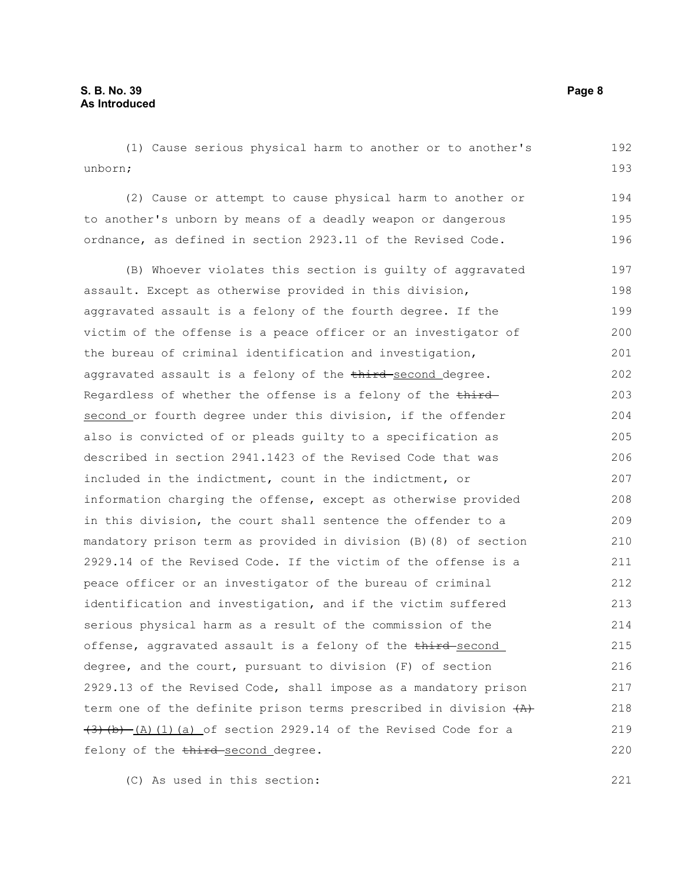(1) Cause serious physical harm to another or to another's unborn; 192 193

(2) Cause or attempt to cause physical harm to another or to another's unborn by means of a deadly weapon or dangerous ordnance, as defined in section 2923.11 of the Revised Code. 194 195 196

(B) Whoever violates this section is guilty of aggravated assault. Except as otherwise provided in this division, aggravated assault is a felony of the fourth degree. If the victim of the offense is a peace officer or an investigator of the bureau of criminal identification and investigation, aggravated assault is a felony of the third-second degree. Regardless of whether the offense is a felony of the third second or fourth degree under this division, if the offender also is convicted of or pleads guilty to a specification as described in section 2941.1423 of the Revised Code that was included in the indictment, count in the indictment, or information charging the offense, except as otherwise provided in this division, the court shall sentence the offender to a mandatory prison term as provided in division (B)(8) of section 2929.14 of the Revised Code. If the victim of the offense is a peace officer or an investigator of the bureau of criminal identification and investigation, and if the victim suffered serious physical harm as a result of the commission of the offense, aggravated assault is a felony of the third-second degree, and the court, pursuant to division (F) of section 2929.13 of the Revised Code, shall impose as a mandatory prison term one of the definite prison terms prescribed in division  $(A)$  $(3)$  (b)  $(A)$  (1)(a) of section 2929.14 of the Revised Code for a felony of the third-second degree. 197 198 199 200 201 202 203 204 205 206 207 208 209 210 211 212 213 214 215 216 217 218 219 220

(C) As used in this section: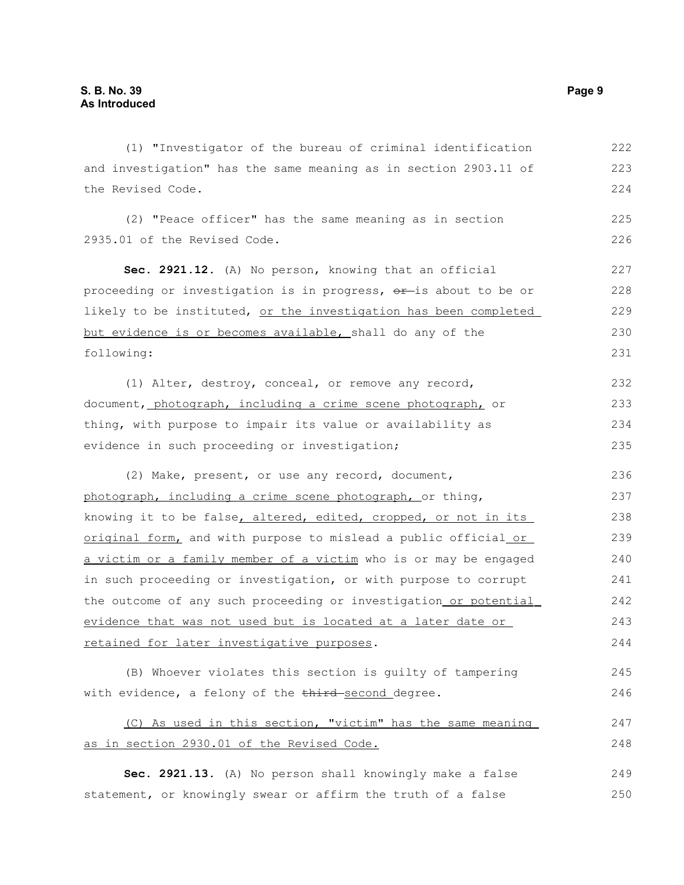(1) "Investigator of the bureau of criminal identification and investigation" has the same meaning as in section 2903.11 of the Revised Code. (2) "Peace officer" has the same meaning as in section 2935.01 of the Revised Code. **Sec. 2921.12.** (A) No person, knowing that an official proceeding or investigation is in progress,  $\theta$ ris about to be or likely to be instituted, or the investigation has been completed but evidence is or becomes available, shall do any of the following: (1) Alter, destroy, conceal, or remove any record, document, photograph, including a crime scene photograph, or thing, with purpose to impair its value or availability as evidence in such proceeding or investigation; (2) Make, present, or use any record, document, photograph, including a crime scene photograph, or thing, knowing it to be false, altered, edited, cropped, or not in its original form, and with purpose to mislead a public official or a victim or a family member of a victim who is or may be engaged in such proceeding or investigation, or with purpose to corrupt the outcome of any such proceeding or investigation or potential evidence that was not used but is located at a later date or retained for later investigative purposes. (B) Whoever violates this section is guilty of tampering with evidence, a felony of the third-second degree. (C) As used in this section, "victim" has the same meaning as in section 2930.01 of the Revised Code. 222 223 224 225 226 227 228 229 230 231 232 233 234 235 236 237 238 239 240 241 242 243 244 245 246 247 248

**Sec. 2921.13.** (A) No person shall knowingly make a false statement, or knowingly swear or affirm the truth of a false 249 250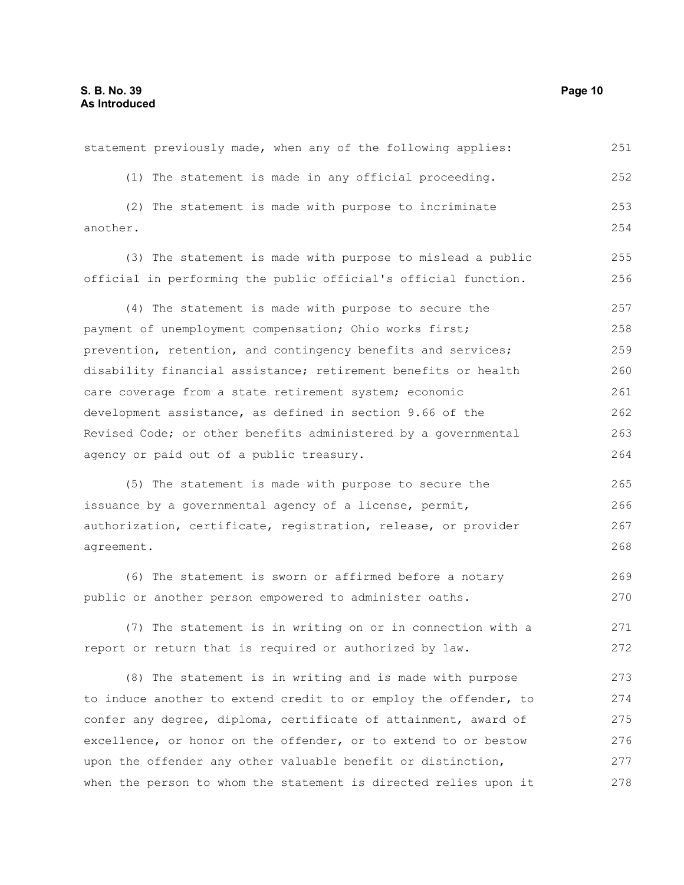(1) The statement is made in any official proceeding. (2) The statement is made with purpose to incriminate another. (3) The statement is made with purpose to mislead a public official in performing the public official's official function. (4) The statement is made with purpose to secure the payment of unemployment compensation; Ohio works first; prevention, retention, and contingency benefits and services; disability financial assistance; retirement benefits or health care coverage from a state retirement system; economic development assistance, as defined in section 9.66 of the Revised Code; or other benefits administered by a governmental agency or paid out of a public treasury. (5) The statement is made with purpose to secure the issuance by a governmental agency of a license, permit, authorization, certificate, registration, release, or provider agreement. (6) The statement is sworn or affirmed before a notary public or another person empowered to administer oaths. (7) The statement is in writing on or in connection with a report or return that is required or authorized by law. (8) The statement is in writing and is made with purpose to induce another to extend credit to or employ the offender, to confer any degree, diploma, certificate of attainment, award of excellence, or honor on the offender, or to extend to or bestow upon the offender any other valuable benefit or distinction, when the person to whom the statement is directed relies upon it 252 253 254 255 256 257 258 259 260 261 262 263 264 265 266 267 268 269 270 271 272 273 274 275 276 277 278

statement previously made, when any of the following applies: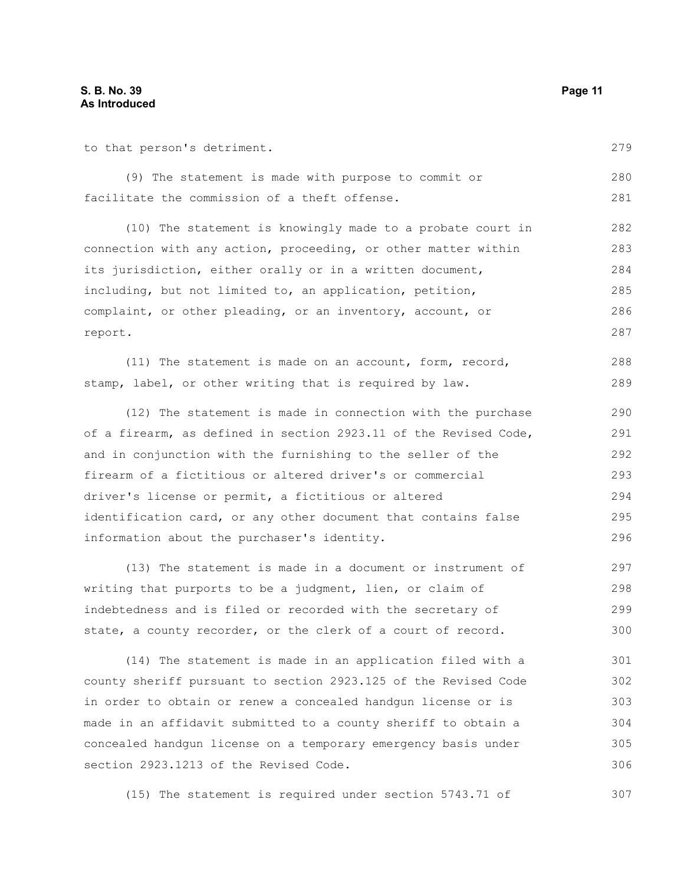to that person's detriment.

(9) The statement is made with purpose to commit or facilitate the commission of a theft offense. 280 281

(10) The statement is knowingly made to a probate court in connection with any action, proceeding, or other matter within its jurisdiction, either orally or in a written document, including, but not limited to, an application, petition, complaint, or other pleading, or an inventory, account, or report. 282 283 284 285 286 287

(11) The statement is made on an account, form, record, stamp, label, or other writing that is required by law. 288 289

(12) The statement is made in connection with the purchase of a firearm, as defined in section 2923.11 of the Revised Code, and in conjunction with the furnishing to the seller of the firearm of a fictitious or altered driver's or commercial driver's license or permit, a fictitious or altered identification card, or any other document that contains false information about the purchaser's identity. 290 291 292 293 294 295 296

(13) The statement is made in a document or instrument of writing that purports to be a judgment, lien, or claim of indebtedness and is filed or recorded with the secretary of state, a county recorder, or the clerk of a court of record. 297 298 299 300

(14) The statement is made in an application filed with a county sheriff pursuant to section 2923.125 of the Revised Code in order to obtain or renew a concealed handgun license or is made in an affidavit submitted to a county sheriff to obtain a concealed handgun license on a temporary emergency basis under section 2923.1213 of the Revised Code. 301 302 303 304 305 306

(15) The statement is required under section 5743.71 of

279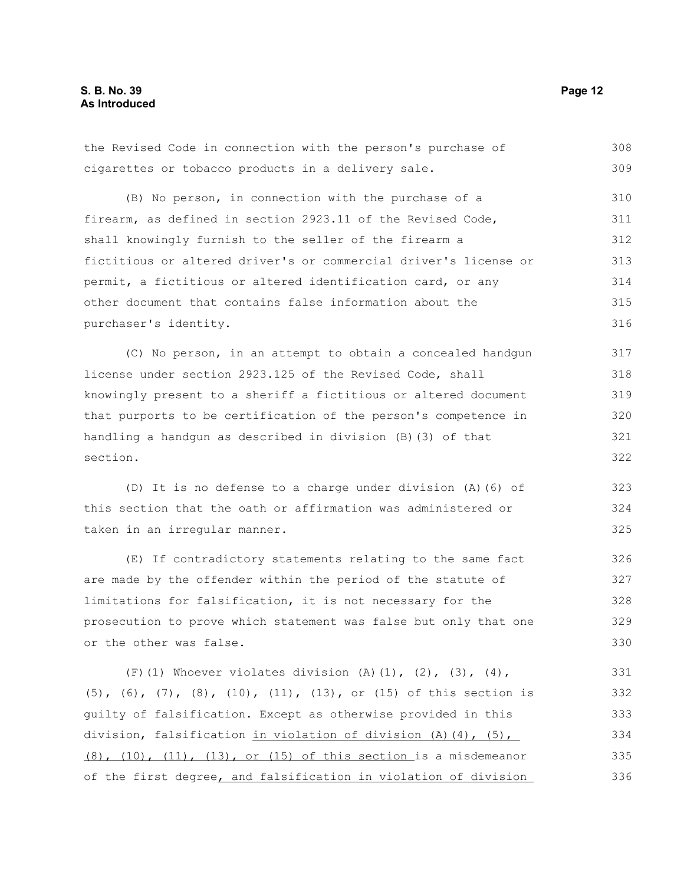### **S. B. No. 39 Page 12 As Introduced**

cigarettes or tobacco products in a delivery sale. (B) No person, in connection with the purchase of a firearm, as defined in section 2923.11 of the Revised Code, shall knowingly furnish to the seller of the firearm a fictitious or altered driver's or commercial driver's license or permit, a fictitious or altered identification card, or any other document that contains false information about the purchaser's identity. (C) No person, in an attempt to obtain a concealed handgun license under section 2923.125 of the Revised Code, shall knowingly present to a sheriff a fictitious or altered document that purports to be certification of the person's competence in handling a handgun as described in division (B)(3) of that section. (D) It is no defense to a charge under division (A)(6) of this section that the oath or affirmation was administered or taken in an irregular manner. (E) If contradictory statements relating to the same fact are made by the offender within the period of the statute of limitations for falsification, it is not necessary for the prosecution to prove which statement was false but only that one or the other was false. (F)(1) Whoever violates division  $(A)$ (1), (2), (3), (4), (5), (6), (7), (8), (10), (11), (13), or (15) of this section is guilty of falsification. Except as otherwise provided in this division, falsification in violation of division (A)(4), (5), (8), (10), (11), (13), or (15) of this section is a misdemeanor 309 310 311 312 313 314 315 316 317 318 319 320 321 322 323 324 325 326 327 328 329 330 331 332 333 334 335

of the first degree, and falsification in violation of division

the Revised Code in connection with the person's purchase of

308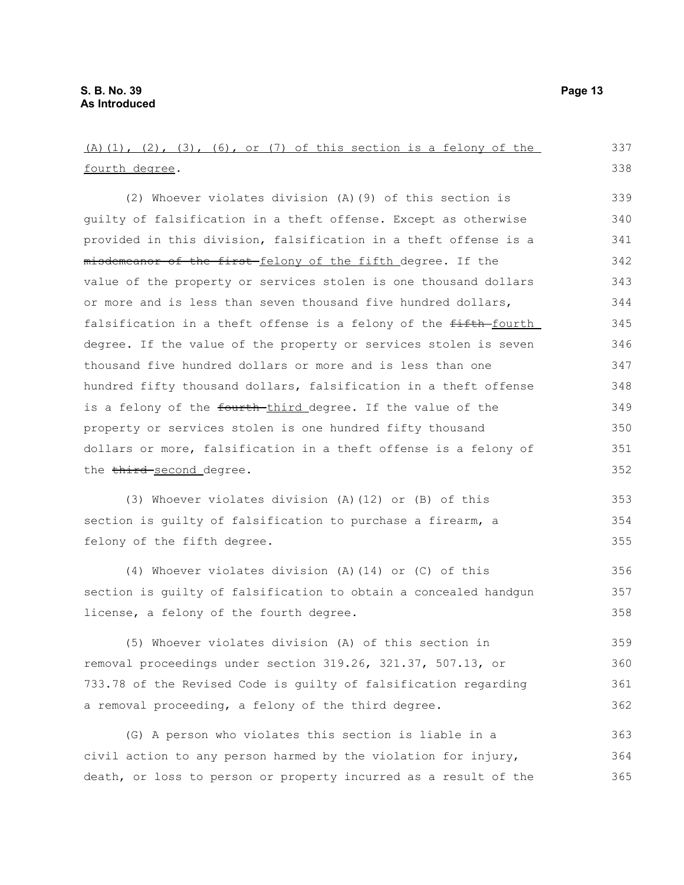(A)(1), (2), (3), (6), or (7) of this section is a felony of the fourth degree. (2) Whoever violates division (A)(9) of this section is guilty of falsification in a theft offense. Except as otherwise provided in this division, falsification in a theft offense is a misdemeanor of the first felony of the fifth degree. If the value of the property or services stolen is one thousand dollars or more and is less than seven thousand five hundred dollars, falsification in a theft offense is a felony of the fifth-fourth degree. If the value of the property or services stolen is seven thousand five hundred dollars or more and is less than one hundred fifty thousand dollars, falsification in a theft offense is a felony of the fourth-third degree. If the value of the property or services stolen is one hundred fifty thousand dollars or more, falsification in a theft offense is a felony of the third second degree. (3) Whoever violates division (A)(12) or (B) of this section is guilty of falsification to purchase a firearm, a felony of the fifth degree. (4) Whoever violates division (A)(14) or (C) of this section is guilty of falsification to obtain a concealed handgun license, a felony of the fourth degree. (5) Whoever violates division (A) of this section in removal proceedings under section 319.26, 321.37, 507.13, or 733.78 of the Revised Code is guilty of falsification regarding a removal proceeding, a felony of the third degree. (G) A person who violates this section is liable in a civil action to any person harmed by the violation for injury, 337 338 339 340 341 342 343 344 345 346 347 348 349 350 351 352 353 354 355 356 357 358 359 360 361 362 363 364

death, or loss to person or property incurred as a result of the